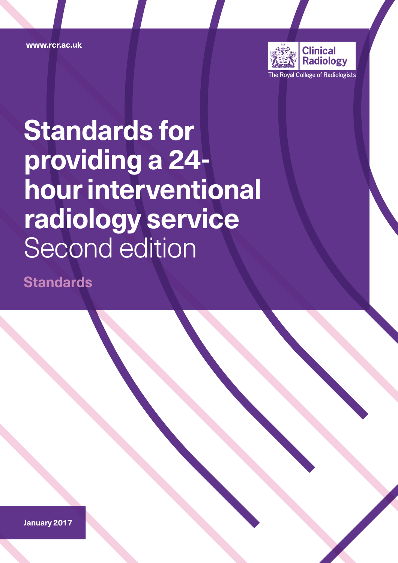www.rcr.ac.uk



# **Standards for providing a 24 hour interventional radiology service** Second edition

**Standards**

**January 2017**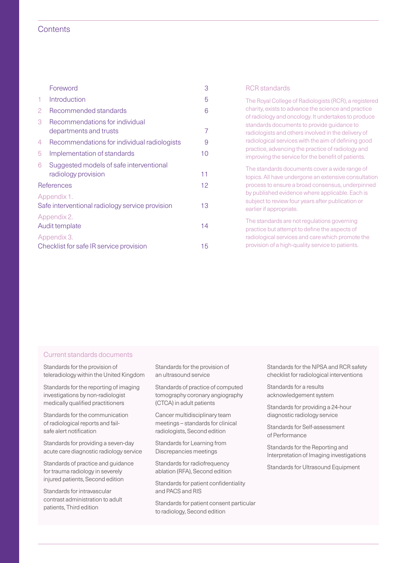#### **Contents**

|                                                                | Foreword                                                       | 3  | <b>RCR</b> standards                                                                                                                                           |  |
|----------------------------------------------------------------|----------------------------------------------------------------|----|----------------------------------------------------------------------------------------------------------------------------------------------------------------|--|
|                                                                | Introduction                                                   | 5  | The Royal College of Radiologists (RCR), a registered                                                                                                          |  |
| $\overline{2}$                                                 | Recommended standards                                          | 6  | charity, exists to advance the science and practice                                                                                                            |  |
| 3                                                              | Recommendations for individual<br>departments and trusts       |    | of radiology and oncology. It undertakes to produce<br>standards documents to provide guidance to<br>radiologists and others involved in the delivery of       |  |
| $\overline{4}$                                                 | Recommendations for individual radiologists                    | 9  | radiological services with the aim of defining good<br>practice, advancing the practice of radiology and<br>improving the service for the benefit of patients. |  |
| 5                                                              | Implementation of standards                                    | 10 |                                                                                                                                                                |  |
| 6                                                              | Suggested models of safe interventional<br>radiology provision | 11 | The standards documents cover a wide range of<br>topics. All have undergone an extensive consultation                                                          |  |
| References                                                     |                                                                | 12 | process to ensure a broad consensus, underpinned                                                                                                               |  |
| Appendix 1.<br>Safe interventional radiology service provision |                                                                | 13 | by published evidence where applicable. Each is<br>subject to review four years after publication or<br>earlier if appropriate.                                |  |
| Appendix 2.<br>Audit template                                  |                                                                | 14 | The standards are not regulations governing<br>practice but attempt to define the aspects of                                                                   |  |
| Appendix 3.<br>Checklist for safe IR service provision         |                                                                | 15 | radiological services and care which promote the<br>provision of a high-quality service to patients.                                                           |  |

#### Current standards documents

Standards for the provision of teleradiology within the United Kingdom

Standards for the reporting of imaging investigations by non-radiologist medically qualified practitioners

Standards for the communication of radiological reports and failsafe alert notification

Standards for providing a seven-day acute care diagnostic radiology service

Standards of practice and guidance for trauma radiology in severely injured patients, Second edition

Standards for intravascular contrast administration to adult patients, Third edition

Standards for the provision of an ultrasound service

Standards of practice of computed tomography coronary angiography (CTCA) in adult patients

Cancer multidisciplinary team meetings – standards for clinical radiologists, Second edition

Standards for Learning from Discrepancies meetings

Standards for radiofrequency ablation (RFA), Second edition

Standards for patient confidentiality and PACS and RIS

Standards for patient consent particular to radiology, Second edition

Standards for the NPSA and RCR safety checklist for radiological interventions

Standards for a results acknowledgement system

Standards for providing a 24-hour diagnostic radiology service

Standards for Self-assessment of Performance

Standards for the Reporting and Interpretation of Imaging investigations

Standards for Ultrasound Equipment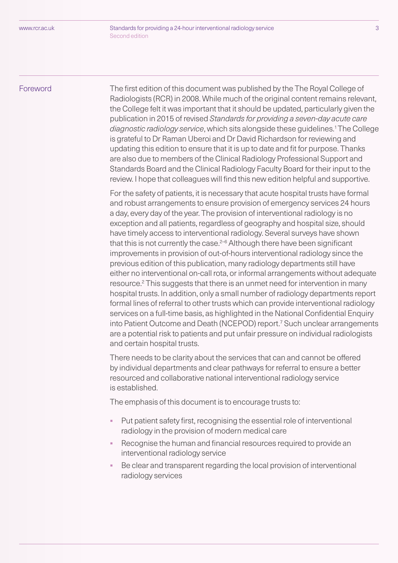<span id="page-2-0"></span>Foreword The first edition of this document was published by the The Royal College of Radiologists (RCR) in 2008. While much of the original content remains relevant, the College felt it was important that it should be updated, particularly given the publication in 2015 of revised *Standards for providing a seven-day acute care diagnostic radiology service*, which sits alongside these guidelines.1 The College is grateful to Dr Raman Uberoi and Dr David Richardson for reviewing and updating this edition to ensure that it is up to date and fit for purpose. Thanks are also due to members of the Clinical Radiology Professional Support and Standards Board and the Clinical Radiology Faculty Board for their input to the review. I hope that colleagues will find this new edition helpful and supportive.

> For the safety of patients, it is necessary that acute hospital trusts have formal and robust arrangements to ensure provision of emergency services 24 hours a day, every day of the year. The provision of interventional radiology is no exception and all patients, regardless of geography and hospital size, should have timely access to interventional radiology. Several surveys have shown that this is not currently the case. $2-6$  Although there have been significant improvements in provision of out-of-hours interventional radiology since the previous edition of this publication, many radiology departments still have either no interventional on-call rota, or informal arrangements without adequate resource.<sup>2</sup> This suggests that there is an unmet need for intervention in many hospital trusts. In addition, only a small number of radiology departments report formal lines of referral to other trusts which can provide interventional radiology services on a full-time basis, as highlighted in the National Confidential Enquiry into Patient Outcome and Death (NCEPOD) report.7 Such unclear arrangements are a potential risk to patients and put unfair pressure on individual radiologists and certain hospital trusts.

There needs to be clarity about the services that can and cannot be offered by individual departments and clear pathways for referral to ensure a better resourced and collaborative national interventional radiology service is established.

The emphasis of this document is to encourage trusts to:

- § Put patient safety first, recognising the essential role of interventional radiology in the provision of modern medical care
- Recognise the human and financial resources required to provide an interventional radiology service
- Be clear and transparent regarding the local provision of interventional radiology services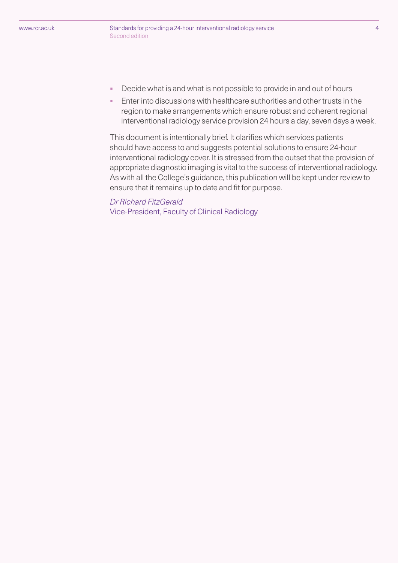- Decide what is and what is not possible to provide in and out of hours
- Enter into discussions with healthcare authorities and other trusts in the region to make arrangements which ensure robust and coherent regional interventional radiology service provision 24 hours a day, seven days a week.

This document is intentionally brief. It clarifies which services patients should have access to and suggests potential solutions to ensure 24-hour interventional radiology cover. It is stressed from the outset that the provision of appropriate diagnostic imaging is vital to the success of interventional radiology. As with all the College's guidance, this publication will be kept under review to ensure that it remains up to date and fit for purpose.

## *Dr Richard FitzGerald*

Vice-President, Faculty of Clinical Radiology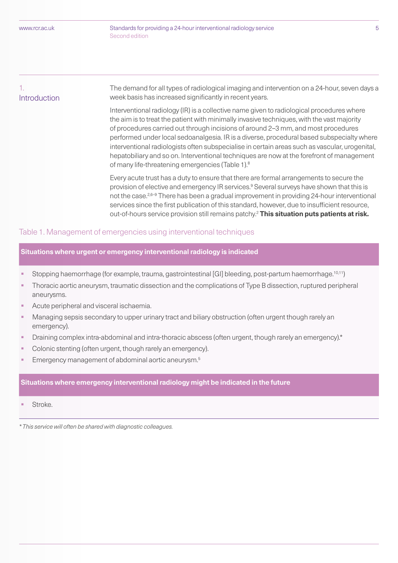#### 1. Introduction

The demand for all types of radiological imaging and intervention on a 24-hour, seven days a week basis has increased significantly in recent years.

Interventional radiology (IR) is a collective name given to radiological procedures where the aim is to treat the patient with minimally invasive techniques, with the vast majority of procedures carried out through incisions of around 2–3 mm, and most procedures performed under local sedoanalgesia. IR is a diverse, procedural based subspecialty where interventional radiologists often subspecialise in certain areas such as vascular, urogenital, hepatobiliary and so on. Interventional techniques are now at the forefront of management of many life-threatening emergencies (Table 1).8

Every acute trust has a duty to ensure that there are formal arrangements to secure the provision of elective and emergency IR services.<sup>9</sup> Several surveys have shown that this is not the case.<sup>2,6–9</sup> There has been a gradual improvement in providing 24-hour interventional services since the first publication of this standard, however, due to insufficient resource, out-of-hours service provision still remains patchy.2 **This situation puts patients at risk.**

#### Table 1. Management of emergencies using interventional techniques

#### **Situations where urgent or emergency interventional radiology is indicated**

- Stopping haemorrhage (for example, trauma, gastrointestinal [GI] bleeding, post-partum haemorrhage.<sup>10,11</sup>)
- Thoracic aortic aneurysm, traumatic dissection and the complications of Type B dissection, ruptured peripheral aneurysms.
- § Acute peripheral and visceral ischaemia.
- Managing sepsis secondary to upper urinary tract and biliary obstruction (often urgent though rarely an emergency).
- § Draining complex intra-abdominal and intra-thoracic abscess (often urgent, though rarely an emergency).\*
- Colonic stenting (often urgent, though rarely an emergency).
- Emergency management of abdominal aortic aneurysm.<sup>5</sup>

#### **Situations where emergency interventional radiology might be indicated in the future**

§ Stroke.

*\* This service will often be shared with diagnostic colleagues.*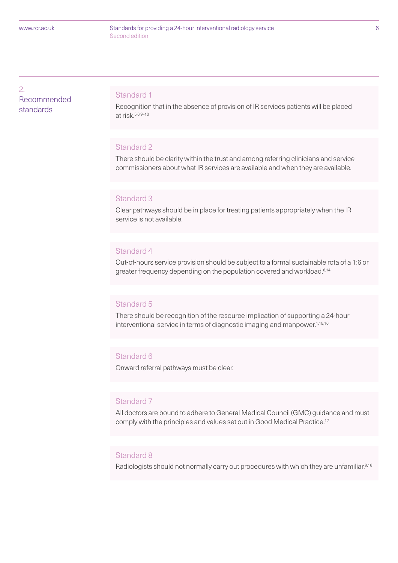Standards for providing a 24-hour interventional radiology service 6 Second edition

2. Recommended standards

#### Standard 1

Recognition that in the absence of provision of IR services patients will be placed at risk.5,6,9–13

#### Standard 2

There should be clarity within the trust and among referring clinicians and service commissioners about what IR services are available and when they are available.

#### Standard 3

Clear pathways should be in place for treating patients appropriately when the IR service is not available.

#### Standard 4

Out-of-hours service provision should be subject to a formal sustainable rota of a 1:6 or greater frequency depending on the population covered and workload.<sup>8,14</sup>

#### Standard 5

There should be recognition of the resource implication of supporting a 24-hour interventional service in terms of diagnostic imaging and manpower.<sup>1,15,16</sup>

#### Standard 6

Onward referral pathways must be clear.

#### Standard 7

All doctors are bound to adhere to General Medical Council (GMC) guidance and must comply with the principles and values set out in Good Medical Practice.17

#### Standard 8

Radiologists should not normally carry out procedures with which they are unfamiliar.<sup>9,16</sup>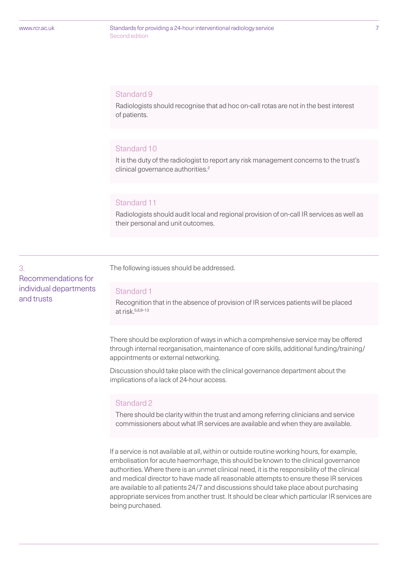Standards for providing a 24-hour interventional radiology service 7 Second edition

#### Standard 9

Radiologists should recognise that ad hoc on-call rotas are not in the best interest of patients.

#### Standard 10

It is the duty of the radiologist to report any risk management concerns to the trust's clinical governance authorities.<sup>2</sup>

#### Standard 11

Radiologists should audit local and regional provision of on-call IR services as well as their personal and unit outcomes.

3. Recommendations for individual departments and trusts

The following issues should be addressed.

#### Standard 1

Recognition that in the absence of provision of IR services patients will be placed at risk.5,6,9–13

There should be exploration of ways in which a comprehensive service may be offered through internal reorganisation, maintenance of core skills, additional funding/training/ appointments or external networking.

Discussion should take place with the clinical governance department about the implications of a lack of 24-hour access.

#### Standard 2

There should be clarity within the trust and among referring clinicians and service commissioners about what IR services are available and when they are available.

If a service is not available at all, within or outside routine working hours, for example, embolisation for acute haemorrhage, this should be known to the clinical governance authorities. Where there is an unmet clinical need, it is the responsibility of the clinical and medical director to have made all reasonable attempts to ensure these IR services are available to all patients 24/7 and discussions should take place about purchasing appropriate services from another trust. It should be clear which particular IR services are being purchased.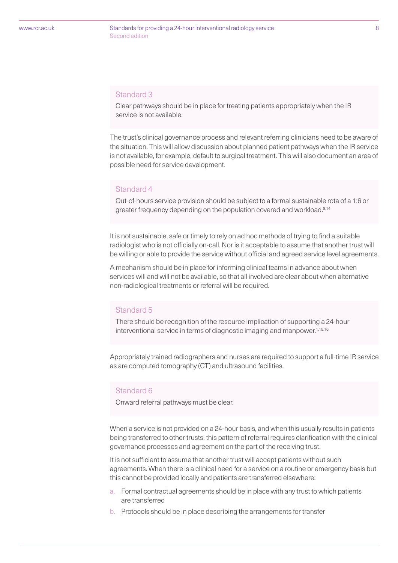#### Standards for providing a 24-hour interventional radiology service 8 Second edition

#### Standard 3

Clear pathways should be in place for treating patients appropriately when the IR service is not available.

The trust's clinical governance process and relevant referring clinicians need to be aware of the situation. This will allow discussion about planned patient pathways when the IR service is not available, for example, default to surgical treatment. This will also document an area of possible need for service development.

#### Standard 4

Out-of-hours service provision should be subject to a formal sustainable rota of a 1:6 or greater frequency depending on the population covered and workload.8,14

It is not sustainable, safe or timely to rely on ad hoc methods of trying to find a suitable radiologist who is not officially on-call. Nor is it acceptable to assume that another trust will be willing or able to provide the service without official and agreed service level agreements.

A mechanism should be in place for informing clinical teams in advance about when services will and will not be available, so that all involved are clear about when alternative non-radiological treatments or referral will be required.

#### Standard 5

There should be recognition of the resource implication of supporting a 24-hour interventional service in terms of diagnostic imaging and manpower.<sup>1,15,16</sup>

Appropriately trained radiographers and nurses are required to support a full-time IR service as are computed tomography (CT) and ultrasound facilities.

#### Standard 6

Onward referral pathways must be clear.

When a service is not provided on a 24-hour basis, and when this usually results in patients being transferred to other trusts, this pattern of referral requires clarification with the clinical governance processes and agreement on the part of the receiving trust.

It is not sufficient to assume that another trust will accept patients without such agreements. When there is a clinical need for a service on a routine or emergency basis but this cannot be provided locally and patients are transferred elsewhere:

- a. Formal contractual agreements should be in place with any trust to which patients are transferred
- b. Protocols should be in place describing the arrangements for transfer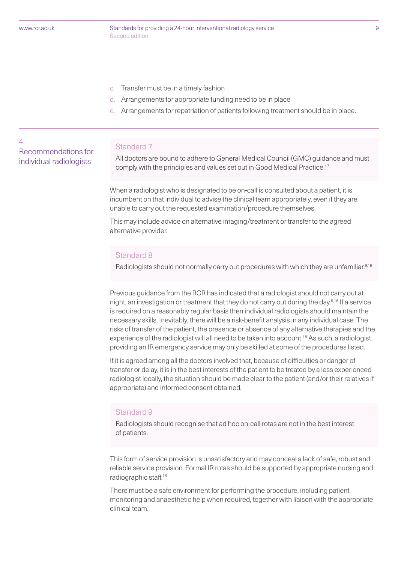4.

Recommendations for individual radiologists

Standards for providing a 24-hour interventional radiology service 9 Second edition

- c. Transfer must be in a timely fashion
- d. Arrangements for appropriate funding need to be in place
- Arrangements for repatriation of patients following treatment should be in place.

#### Standard 7

All doctors are bound to adhere to General Medical Council (GMC) guidance and must comply with the principles and values set out in Good Medical Practice.<sup>17</sup>

When a radiologist who is designated to be on-call is consulted about a patient, it is incumbent on that individual to advise the clinical team appropriately, even if they are unable to carry out the requested examination/procedure themselves.

This may include advice on alternative imaging/treatment or transfer to the agreed alternative provider.

#### Standard 8

Radiologists should not normally carry out procedures with which they are unfamiliar.<sup>9,16</sup>

Previous guidance from the RCR has indicated that a radiologist should not carry out at night, an investigation or treatment that they do not carry out during the day.9,16 If a service is required on a reasonably regular basis then individual radiologists should maintain the necessary skills. Inevitably, there will be a risk-benefit analysis in any individual case. The risks of transfer of the patient, the presence or absence of any alternative therapies and the experience of the radiologist will all need to be taken into account.<sup>18</sup> As such, a radiologist providing an IR emergency service may only be skilled at some of the procedures listed.

If it is agreed among all the doctors involved that, because of difficulties or danger of transfer or delay, it is in the best interests of the patient to be treated by a less experienced radiologist locally, the situation should be made clear to the patient (and/or their relatives if appropriate) and informed consent obtained.

#### Standard 9

Radiologists should recognise that ad hoc on-call rotas are not in the best interest of patients.

This form of service provision is unsatisfactory and may conceal a lack of safe, robust and reliable service provision. Formal IR rotas should be supported by appropriate nursing and radiographic staff.16

There must be a safe environment for performing the procedure, including patient monitoring and anaesthetic help when required, together with liaison with the appropriate clinical team.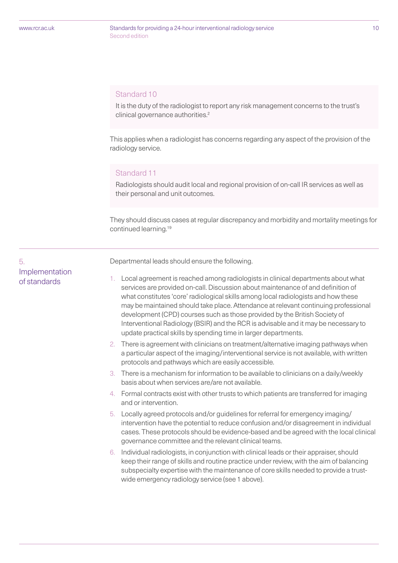5.

Implementation of standards

#### Standards for providing a 24-hour interventional radiology service 10 Second edition

#### Standard 10

It is the duty of the radiologist to report any risk management concerns to the trust's clinical governance authorities.<sup>2</sup>

This applies when a radiologist has concerns regarding any aspect of the provision of the radiology service.

#### Standard 11

Radiologists should audit local and regional provision of on-call IR services as well as their personal and unit outcomes.

They should discuss cases at regular discrepancy and morbidity and mortality meetings for continued learning.19

Departmental leads should ensure the following.

- 1. Local agreement is reached among radiologists in clinical departments about what services are provided on-call. Discussion about maintenance of and definition of what constitutes 'core' radiological skills among local radiologists and how these may be maintained should take place. Attendance at relevant continuing professional development (CPD) courses such as those provided by the British Society of Interventional Radiology (BSIR) and the RCR is advisable and it may be necessary to update practical skills by spending time in larger departments.
	- 2. There is agreement with clinicians on treatment/alternative imaging pathways when a particular aspect of the imaging/interventional service is not available, with written protocols and pathways which are easily accessible.
	- 3. There is a mechanism for information to be available to clinicians on a daily/weekly basis about when services are/are not available.
	- 4. Formal contracts exist with other trusts to which patients are transferred for imaging and or intervention.
	- 5. Locally agreed protocols and/or guidelines for referral for emergency imaging/ intervention have the potential to reduce confusion and/or disagreement in individual cases. These protocols should be evidence-based and be agreed with the local clinical governance committee and the relevant clinical teams.
	- 6. Individual radiologists, in conjunction with clinical leads or their appraiser, should keep their range of skills and routine practice under review, with the aim of balancing subspecialty expertise with the maintenance of core skills needed to provide a trustwide emergency radiology service (see 1 above).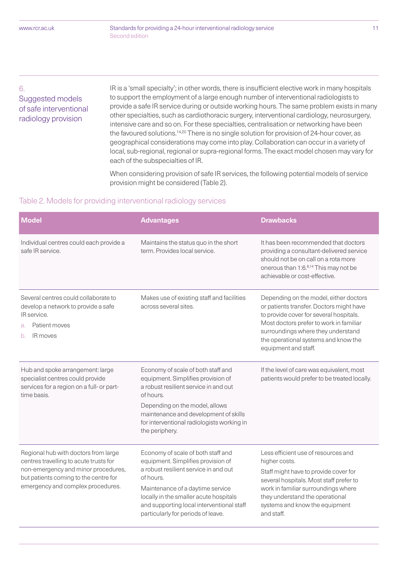#### 6.

### Suggested models of safe interventional radiology provision

IR is a 'small specialty'; in other words, there is insufficient elective work in many hospitals to support the employment of a large enough number of interventional radiologists to provide a safe IR service during or outside working hours. The same problem exists in many other specialties, such as cardiothoracic surgery, interventional cardiology, neurosurgery, intensive care and so on. For these specialties, centralisation or networking have been the favoured solutions.<sup>14,20</sup> There is no single solution for provision of 24-hour cover, as geographical considerations may come into play. Collaboration can occur in a variety of local, sub-regional, regional or supra-regional forms. The exact model chosen may vary for each of the subspecialties of IR.

When considering provision of safe IR services, the following potential models of service provision might be considered (Table 2).

#### Table 2. Models for providing interventional radiology services

| <b>Model</b>                                                                                                                                                                                        | <b>Advantages</b>                                                                                                                                                                                                                                                                               | <b>Drawbacks</b>                                                                                                                                                                                                                                                               |
|-----------------------------------------------------------------------------------------------------------------------------------------------------------------------------------------------------|-------------------------------------------------------------------------------------------------------------------------------------------------------------------------------------------------------------------------------------------------------------------------------------------------|--------------------------------------------------------------------------------------------------------------------------------------------------------------------------------------------------------------------------------------------------------------------------------|
| Individual centres could each provide a<br>safe IR service.                                                                                                                                         | Maintains the status quo in the short<br>term. Provides local service.                                                                                                                                                                                                                          | It has been recommended that doctors<br>providing a consultant-delivered service<br>should not be on call on a rota more<br>onerous than 1:6.8,14 This may not be<br>achievable or cost-effective.                                                                             |
| Several centres could collaborate to<br>develop a network to provide a safe<br>IR service.<br>Patient moves<br>a.<br>IR moves<br>b.                                                                 | Makes use of existing staff and facilities<br>across several sites.                                                                                                                                                                                                                             | Depending on the model, either doctors<br>or patients transfer. Doctors might have<br>to provide cover for several hospitals.<br>Most doctors prefer to work in familiar<br>surroundings where they understand<br>the operational systems and know the<br>equipment and staff. |
| Hub and spoke arrangement: large<br>specialist centres could provide<br>services for a region on a full- or part-<br>time basis.                                                                    | Economy of scale of both staff and<br>equipment. Simplifies provision of<br>a robust resilient service in and out<br>of hours.<br>Depending on the model, allows<br>maintenance and development of skills<br>for interventional radiologists working in<br>the periphery.                       | If the level of care was equivalent, most<br>patients would prefer to be treated locally.                                                                                                                                                                                      |
| Regional hub with doctors from large<br>centres travelling to acute trusts for<br>non-emergency and minor procedures,<br>but patients coming to the centre for<br>emergency and complex procedures. | Economy of scale of both staff and<br>equipment. Simplifies provision of<br>a robust resilient service in and out<br>of hours.<br>Maintenance of a daytime service<br>locally in the smaller acute hospitals<br>and supporting local interventional staff<br>particularly for periods of leave. | Less efficient use of resources and<br>higher costs.<br>Staff might have to provide cover for<br>several hospitals. Most staff prefer to<br>work in familiar surroundings where<br>they understand the operational<br>systems and know the equipment<br>and staff.             |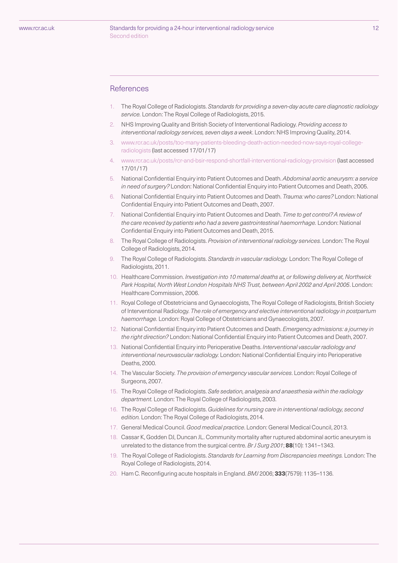#### Standards for providing a 24-hour interventional radiology service 12 Second edition

#### **References**

- 1. The Royal College of Radiologists. *Standards for providing a seven-day acute care diagnostic radiology service.* London: The Royal College of Radiologists, 2015.
- 2. NHS Improving Quality and British Society of Interventional Radiology. *Providing access to interventional radiology services, seven days a week*. London: NHS Improving Quality, 2014.
- 3. www.rcr.ac.uk/posts/too-many-patients-bleeding-death-action-needed-now-says-royal-collegeradiologists (last accessed 17/01/17)
- 4. www.rcr.ac.uk/posts/rcr-and-bsir-respond-shortfall-interventional-radiology-provision (last accessed 17/01/17)
- 5. National Confidential Enquiry into Patient Outcomes and Death. *Abdominal aortic aneurysm: a service in need of surgery?* London: National Confidential Enquiry into Patient Outcomes and Death, 2005.
- 6. National Confidential Enquiry into Patient Outcomes and Death. *Trauma: who cares?* London: National Confidential Enquiry into Patient Outcomes and Death, 2007.
- 7. National Confidential Enquiry into Patient Outcomes and Death. *Time to get control? A review of the care received by patients who had a severe gastrointestinal haemorrhage.* London: National Confidential Enquiry into Patient Outcomes and Death, 2015.
- 8. The Royal College of Radiologists. *Provision of interventional radiology services.* London: The Royal College of Radiologists, 2014.
- 9. The Royal College of Radiologists. *Standards in vascular radiology.* London: The Royal College of Radiologists, 2011.
- 10. Healthcare Commission. *Investigation into 10 maternal deaths at, or following delivery at, Northwick Park Hospital, North West London Hospitals NHS Trust, between April 2002 and April 2005*. London: Healthcare Commission, 2006.
- 11. Royal College of Obstetricians and Gynaecologists, The Royal College of Radiologists, British Society of Interventional Radiology. *The role of emergency and elective interventional radiology in postpartum haemorrhage.* London: Royal College of Obstetricians and Gynaecologists, 2007.
- 12. National Confidential Enquiry into Patient Outcomes and Death. *Emergency admissions: a journey in the right direction?* London: National Confidential Enquiry into Patient Outcomes and Death, 2007.
- 13. National Confidential Enquiry into Perioperative Deaths. *Interventional vascular radiology and interventional neurovascular radiology.* London: National Confidential Enquiry into Perioperative Deaths, 2000.
- 14. The Vascular Society. *The provision of emergency vascular services*. London: Royal College of Surgeons, 2007.
- 15. The Royal College of Radiologists. *Safe sedation, analgesia and anaesthesia within the radiology department.* London: The Royal College of Radiologists, 2003.
- 16. The Royal College of Radiologists. *Guidelines for nursing care in interventional radiology, second edition.* London: The Royal College of Radiologists, 2014.
- 17. General Medical Council. *Good medical practice*. London: General Medical Council, 2013.
- 18. Cassar K, Godden DJ, Duncan JL. Community mortality after ruptured abdominal aortic aneurysm is unrelated to the distance from the surgical centre. *Br J Surg 2001*; **88**(10): 1341–1343.
- 19. The Royal College of Radiologists. *Standards for Learning from Discrepancies meetings.* London: The Royal College of Radiologists, 2014.
- 20. Ham C. Reconfiguring acute hospitals in England. *BMJ* 2006; **333**(7579): 1135–1136.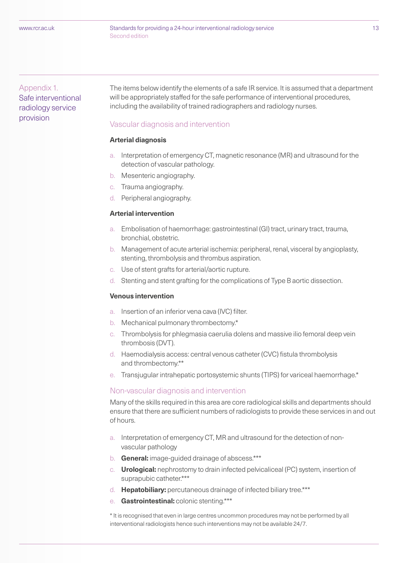#### Appendix 1. Safe interventional radiology service provision

The items below identify the elements of a safe IR service. It is assumed that a department will be appropriately staffed for the safe performance of interventional procedures, including the availability of trained radiographers and radiology nurses.

#### Vascular diagnosis and intervention

#### **Arterial diagnosis**

- a. Interpretation of emergency CT, magnetic resonance (MR) and ultrasound for the detection of vascular pathology.
- b. Mesenteric angiography.
- c. Trauma angiography.
- d. Peripheral angiography.

#### **Arterial intervention**

- a. Embolisation of haemorrhage: gastrointestinal (GI) tract, urinary tract, trauma, bronchial, obstetric.
- b. Management of acute arterial ischemia: peripheral, renal, visceral by angioplasty, stenting, thrombolysis and thrombus aspiration.
- c. Use of stent grafts for arterial/aortic rupture.
- d. Stenting and stent grafting for the complications of Type B aortic dissection.

#### **Venous intervention**

- a. Insertion of an inferior vena cava (IVC) filter.
- b. Mechanical pulmonary thrombectomy.\*
- c. Thrombolysis for phlegmasia caerulia dolens and massive ilio femoral deep vein thrombosis (DVT).
- d. Haemodialysis access: central venous catheter (CVC) fistula thrombolysis and thrombectomy.\*\*
- e. Transjugular intrahepatic portosystemic shunts (TIPS) for variceal haemorrhage.\*

#### Non-vascular diagnosis and intervention

Many of the skills required in this area are core radiological skills and departments should ensure that there are sufficient numbers of radiologists to provide these services in and out of hours.

- a. Interpretation of emergency CT, MR and ultrasound for the detection of nonvascular pathology
- b. **General:** image-guided drainage of abscess.\*\*\*
- c. **Urological:** nephrostomy to drain infected pelvicaliceal (PC) system, insertion of suprapubic catheter.\*\*\*
- d. **Hepatobiliary:** percutaneous drainage of infected biliary tree.\*\*\*
- e. **Gastrointestinal:** colonic stenting.\*\*\*

\* It is recognised that even in large centres uncommon procedures may not be performed by all interventional radiologists hence such interventions may not be available 24/7.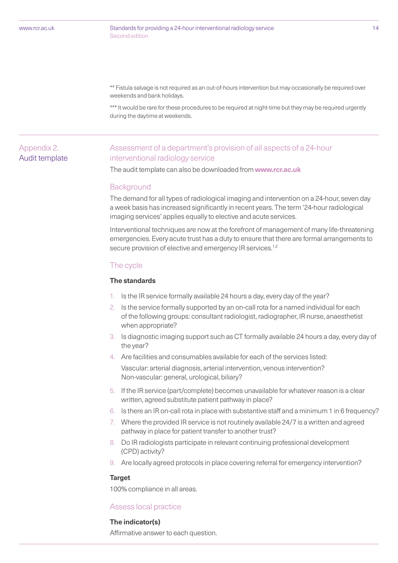#### Standards for providing a 24-hour interventional radiology service 14 Second edition

\*\* Fistula salvage is not required as an out-of-hours intervention but may occasionally be required over weekends and bank holidays.

\*\*\* It would be rare for these procedures to be required at night-time but they may be required urgently during the daytime at weekends.

#### Appendix 2. Audit template

#### Assessment of a department's provision of all aspects of a 24-hour interventional radiology service

The audit template can also be downloaded from **www.rcr.ac.uk**

#### **Background**

The demand for all types of radiological imaging and intervention on a 24-hour, seven day a week basis has increased significantly in recent years. The term '24-hour radiological imaging services' applies equally to elective and acute services.

Interventional techniques are now at the forefront of management of many life-threatening emergencies. Every acute trust has a duty to ensure that there are formal arrangements to secure provision of elective and emergency IR services.<sup>1,2</sup>

#### The cycle

#### **The standards**

- 1. Is the IR service formally available 24 hours a day, every day of the year?
- 2. Is the service formally supported by an on-call rota for a named individual for each of the following groups: consultant radiologist, radiographer, IR nurse, anaesthetist when appropriate?
- 3. Is diagnostic imaging support such as CT formally available 24 hours a day, every day of the year?
- 4. Are facilities and consumables available for each of the services listed:

Vascular: arterial diagnosis, arterial intervention, venous intervention? Non-vascular: general, urological, biliary?

- 5. If the IR service (part/complete) becomes unavailable for whatever reason is a clear written, agreed substitute patient pathway in place?
- 6. Is there an IR on-call rota in place with substantive staff and a minimum 1 in 6 frequency?
- 7. Where the provided IR service is not routinely available 24/7 is a written and agreed pathway in place for patient transfer to another trust?
- 8. Do IR radiologists participate in relevant continuing professional development (CPD) activity?
- 9. Are locally agreed protocols in place covering referral for emergency intervention?

#### **Target**

100% compliance in all areas.

#### Assess local practice

#### **The indicator(s)**

Affirmative answer to each question.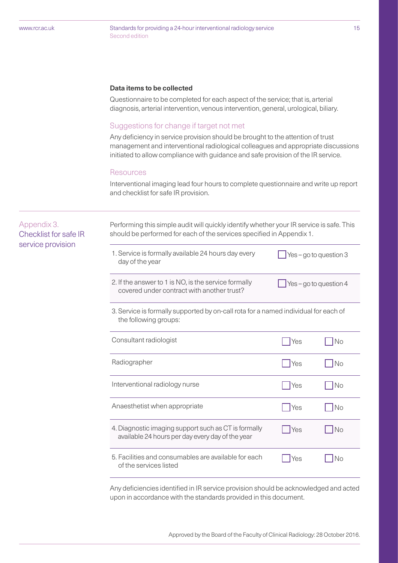Standards for providing a 24-hour interventional radiology service 15 Second edition

#### **Data items to be collected**

Questionnaire to be completed for each aspect of the service; that is, arterial diagnosis, arterial intervention, venous intervention, general, urological, biliary.

#### Suggestions for change if target not met

Any deficiency in service provision should be brought to the attention of trust management and interventional radiological colleagues and appropriate discussions initiated to allow compliance with guidance and safe provision of the IR service.

#### Resources

Interventional imaging lead four hours to complete questionnaire and write up report and checklist for safe IR provision.

# Appendix 3.

Checklist for safe IR service provision

Performing this simple audit will quickly identify whether your IR service is safe. This should be performed for each of the services specified in Appendix 1.

| 1. Service is formally available 24 hours day every<br>day of the year | $\sqrt{\ }$ Yes – go to question 3 |
|------------------------------------------------------------------------|------------------------------------|
|                                                                        |                                    |

 $\Box$  Yes – go to question 4

- 2. If the answer to 1 is NO, is the service formally covered under contract with another trust?
- 3. Service is formally supported by on-call rota for a named individual for each of the following groups:

| Consultant radiologist                                                                                   | Yes        | No        |
|----------------------------------------------------------------------------------------------------------|------------|-----------|
| Radiographer                                                                                             | Yes        | No        |
| Interventional radiology nurse                                                                           | <b>Yes</b> | No        |
| Anaesthetist when appropriate                                                                            | Yes        | No        |
| 4. Diagnostic imaging support such as CT is formally<br>available 24 hours per day every day of the year | Yes        | <b>No</b> |
| 5. Facilities and consumables are available for each<br>of the services listed                           | 'es        |           |

Any deficiencies identified in IR service provision should be acknowledged and acted upon in accordance with the standards provided in this document.